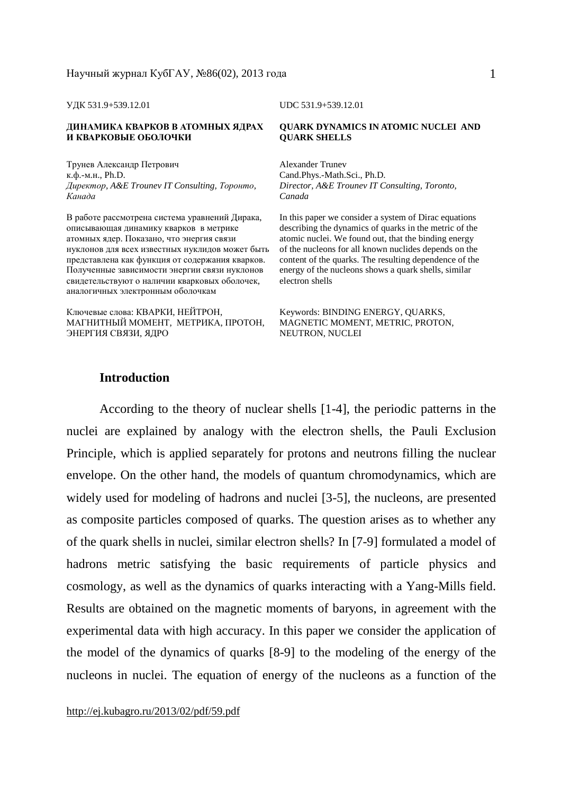#### **ДИНАМИКА КВАРКОВ В АТОМНЫХ ЯДРАХ И КВАРКОВЫЕ ОБОЛОЧКИ**

Трунев Александр Петрович к.ф.-м.н., Ph.D. *Директор, A&E Trounev IT Consulting, Торонто, Канада*

В работе рассмотрена система уравнений Дирака, описывающая динамику кварков в метрике атомных ядер. Показано, что энергия связи нуклонов для всех известных нуклидов может быть представлена как функция от содержания кварков. Полученные зависимости энергии связи нуклонов свидетельствуют о наличии кварковых оболочек, аналогичных электронным оболочкам

Ключевые слова: КВАРКИ, НЕЙТРОН, МАГНИТНЫЙ МОМЕНТ, МЕТРИКА, ПРОТОН, ЭНЕРГИЯ СВЯЗИ, ЯДРО

УДК 531.9+539.12.01 UDC 531.9+539.12.01

#### **QUARK DYNAMICS IN ATOMIC NUCLEI AND QUARK SHELLS**

Alexander Trunev Cand.Phys.-Math.Sci., Ph.D. *Director, A&E Trounev IT Consulting, Toronto, Canada* 

In this paper we consider a system of Dirac equations describing the dynamics of quarks in the metric of the atomic nuclei. We found out, that the binding energy of the nucleons for all known nuclides depends on the content of the quarks. The resulting dependence of the energy of the nucleons shows a quark shells, similar electron shells

Keywords: BINDING ENERGY, QUARKS, MAGNETIC MOMENT, METRIC, PROTON, NEUTRON, NUCLEI

# **Introduction**

According to the theory of nuclear shells [1-4], the periodic patterns in the nuclei are explained by analogy with the electron shells, the Pauli Exclusion Principle, which is applied separately for protons and neutrons filling the nuclear envelope. On the other hand, the models of quantum chromodynamics, which are widely used for modeling of hadrons and nuclei [3-5], the nucleons, are presented as composite particles composed of quarks. The question arises as to whether any of the quark shells in nuclei, similar electron shells? In [7-9] formulated a model of hadrons metric satisfying the basic requirements of particle physics and cosmology, as well as the dynamics of quarks interacting with a Yang-Mills field. Results are obtained on the magnetic moments of baryons, in agreement with the experimental data with high accuracy. In this paper we consider the application of the model of the dynamics of quarks [8-9] to the modeling of the energy of the nucleons in nuclei. The equation of energy of the nucleons as a function of the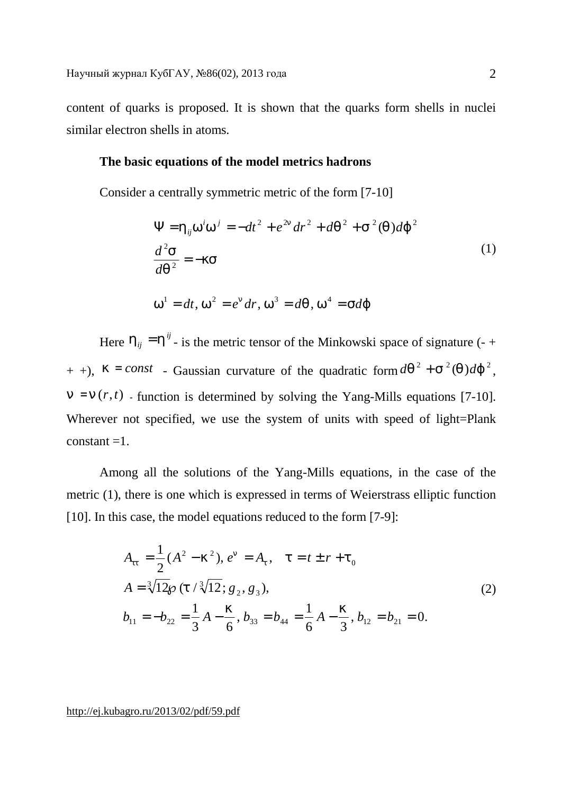content of quarks is proposed. It is shown that the quarks form shells in nuclei similar electron shells in atoms.

# **The basic equations of the model metrics hadrons**

Consider a centrally symmetric metric of the form [7-10]

$$
\Psi = h_{ij} w^i w^j = -dt^2 + e^{2n} dr^2 + dq^2 + s^2 (q) dj^2
$$
  
\n
$$
\frac{d^2 s}{dq^2} = -ks
$$
  
\n
$$
w^1 = dt, w^2 = e^n dr, w^3 = dq, w^4 = sdj
$$
\n(1)

Here  $h_{ij} = h^{ij}$  - is the metric tensor of the Minkowski space of signature (- +  $(k + 1)$ ,  $k = const$  - Gaussian curvature of the quadratic form  $dq^{2} + s^{2}(q)dj^{2}$ ,  $n = n(r, t)$  - function is determined by solving the Yang-Mills equations [7-10]. Wherever not specified, we use the system of units with speed of light=Plank constant  $=1$ .

Among all the solutions of the Yang-Mills equations, in the case of the metric (1), there is one which is expressed in terms of Weierstrass elliptic function [10]. In this case, the model equations reduced to the form [7-9]:

$$
A_{tt} = \frac{1}{2} (A^2 - k^2), e^n = A_t, \quad t = t \pm r + t_0
$$
  
\n
$$
A = \sqrt[3]{12} \wp(t / \sqrt[3]{12}; g_2, g_3),
$$
  
\n
$$
b_{11} = -b_{22} = \frac{1}{3} A - \frac{k}{6}, b_{33} = b_{44} = \frac{1}{6} A - \frac{k}{3}, b_{12} = b_{21} = 0.
$$
\n(2)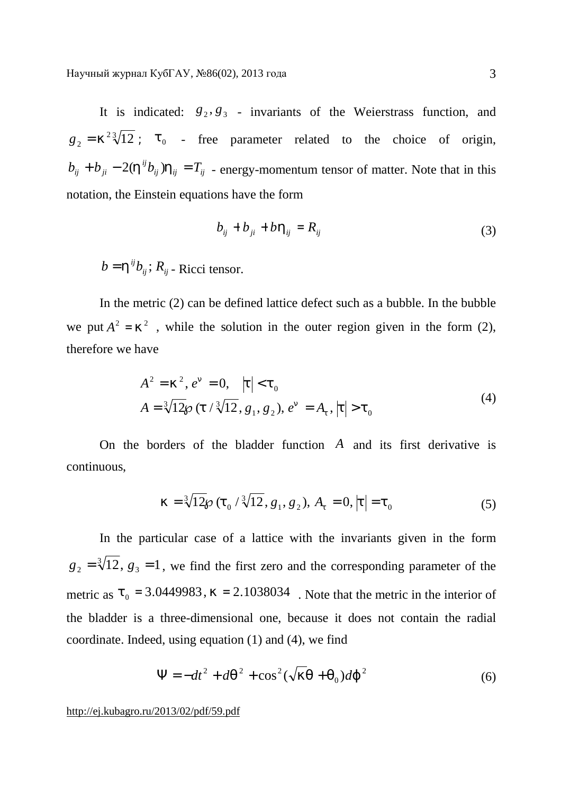It is indicated:  $g_2, g_3$  - invariants of the Weierstrass function, and 2 3  $g_2 = k^2 \sqrt[3]{12}$ ;  $t_0$  - free parameter related to the choice of origin,  $b_{ij} + b_{ji} - 2(h^{ij}b_{ij})h_{ij} = T_{ij}$  - energy-momentum tensor of matter. Note that in this notation, the Einstein equations have the form

$$
b_{ij} + b_{ji} + b h_{ij} = R_{ij} \tag{3}
$$

 $b = h^{ij}b_{ij}$ ;  $R_{ij}$  - Ricci tensor.

In the metric (2) can be defined lattice defect such as a bubble. In the bubble we put  $A^2 = k^2$ , while the solution in the outer region given in the form (2), therefore we have

$$
A^{2} = k^{2}, e^{n} = 0, \quad |t| < t_{0}
$$
  

$$
A = \sqrt[3]{12} \wp(t / \sqrt[3]{12}, g_{1}, g_{2}), e^{n} = A_{t}, |t| > t_{0}
$$
 (4)

On the borders of the bladder function *A* and its first derivative is continuous,

$$
\mathbf{k} = \sqrt[3]{12} \wp(\mathbf{t}_0 / \sqrt[3]{12}, g_1, g_2), A_t = 0, |\mathbf{t}| = \mathbf{t}_0
$$
 (5)

In the particular case of a lattice with the invariants given in the form  $g_2 = \sqrt[3]{12}$ ,  $g_3 = 1$ , we find the first zero and the corresponding parameter of the metric as  $t_0 = 3.0449983$ ,  $k = 2.1038034$ . Note that the metric in the interior of the bladder is a three-dimensional one, because it does not contain the radial coordinate. Indeed, using equation (1) and (4), we find

$$
\Psi = -dt^2 + dq^2 + \cos^2(\sqrt{kq} + q_0)dj^2
$$
 (6)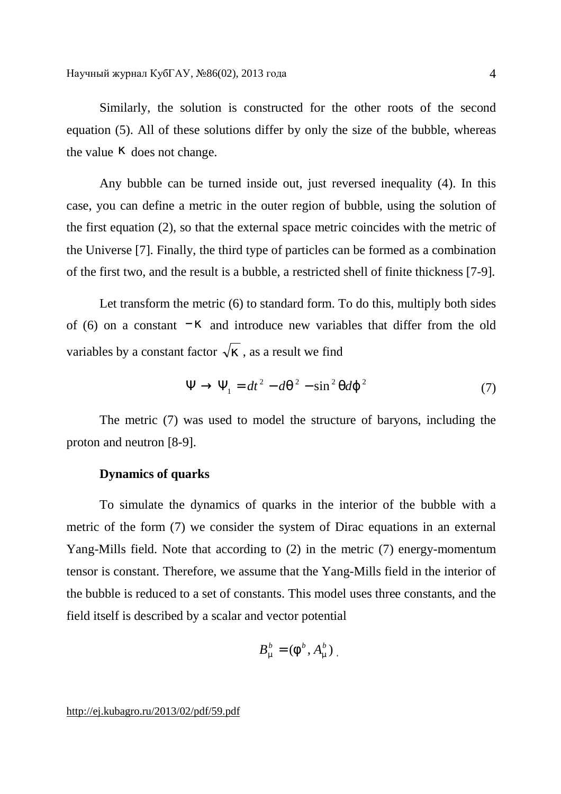Similarly, the solution is constructed for the other roots of the second equation (5). All of these solutions differ by only the size of the bubble, whereas the value *k* does not change.

Any bubble can be turned inside out, just reversed inequality (4). In this case, you can define a metric in the outer region of bubble, using the solution of the first equation (2), so that the external space metric coincides with the metric of the Universe [7]. Finally, the third type of particles can be formed as a combination of the first two, and the result is a bubble, a restricted shell of finite thickness [7-9].

Let transform the metric (6) to standard form. To do this, multiply both sides of (6) on a constant  $-k$  and introduce new variables that differ from the old variables by a constant factor  $\sqrt{k}$ , as a result we find

$$
\Psi \to \Psi_1 = dt^2 - dq^2 - \sin^2 q d\dot{J}^2 \tag{7}
$$

The metric (7) was used to model the structure of baryons, including the proton and neutron [8-9].

### **Dynamics of quarks**

To simulate the dynamics of quarks in the interior of the bubble with a metric of the form (7) we consider the system of Dirac equations in an external Yang-Mills field. Note that according to (2) in the metric (7) energy-momentum tensor is constant. Therefore, we assume that the Yang-Mills field in the interior of the bubble is reduced to a set of constants. This model uses three constants, and the field itself is described by a scalar and vector potential

$$
B_{m}^{b}=(f^{b},A_{m}^{b}).
$$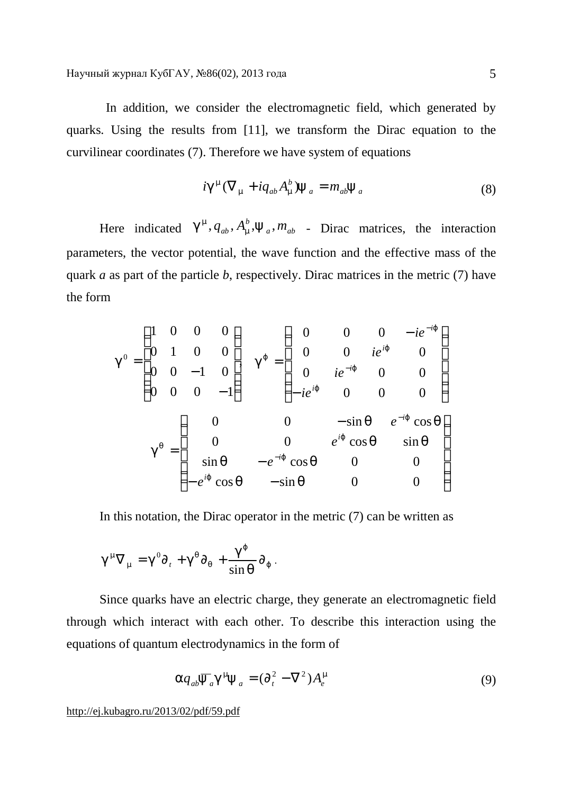In addition, we consider the electromagnetic field, which generated by quarks. Using the results from [11], we transform the Dirac equation to the curvilinear coordinates (7). Therefore we have system of equations

$$
ig^{m}(\nabla_{m} + iq_{ab}A_{m}^{b})\mathbf{y}_{a} = m_{ab}\mathbf{y}_{a}
$$
\n(8)

Here indicated  $g^m$ ,  $q_{ab}$ ,  $A_m^b$ ,  $y_a$ ,  $m_{ab}$  - Dirac matrices, the interaction parameters, the vector potential, the wave function and the effective mass of the quark *a* as part of the particle *b*, respectively. Dirac matrices in the metric (7) have the form

$$
g^{0} = \begin{pmatrix} 1 & 0 & 0 & 0 \\ 0 & 1 & 0 & 0 \\ 0 & 0 & -1 & 0 \\ 0 & 0 & 0 & -1 \end{pmatrix} \quad g^{j} = \begin{pmatrix} 0 & 0 & 0 & -ie^{-ij} \\ 0 & 0 & ie^{ij} & 0 \\ 0 & ie^{-ij} & 0 & 0 \\ -ie^{ij} & 0 & 0 & 0 \end{pmatrix}
$$

$$
g^{q} = \begin{pmatrix} 0 & 0 & -\sin q & e^{-ij} \cos q \\ 0 & 0 & -\sin q & e^{-ij} \cos q \\ \sin q & -e^{-ij} \cos q & 0 & 0 \\ -e^{ij} \cos q & -\sin q & 0 & 0 \end{pmatrix}
$$

In this notation, the Dirac operator in the metric (7) can be written as

$$
g^{m}\nabla_{m}=g^{0}\partial_{t}+g^{q}\partial_{q}+\frac{g^{j}}{\sin q}\partial_{j}.
$$

Since quarks have an electric charge, they generate an electromagnetic field through which interact with each other. To describe this interaction using the equations of quantum electrodynamics in the form of

$$
a q_{ab} \overline{y}_a g^m y_a = (\partial_t^2 - \nabla^2) A_e^m
$$
 (9)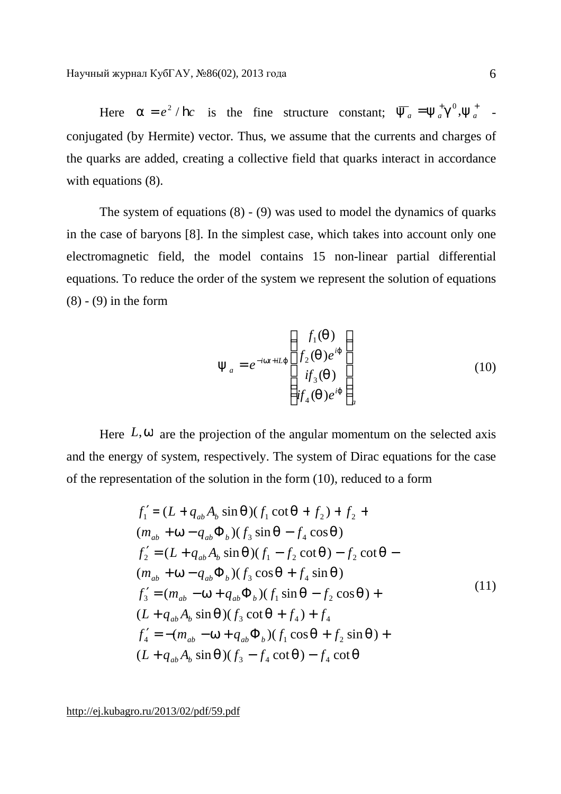Here  $a = e^2 / h$  is the fine structure constant;  $\overline{y}_a = y_a^+ g^0, y_a^+$  conjugated (by Hermite) vector. Thus, we assume that the currents and charges of the quarks are added, creating a collective field that quarks interact in accordance with equations  $(8)$ .

The system of equations (8) - (9) was used to model the dynamics of quarks in the case of baryons [8]. In the simplest case, which takes into account only one electromagnetic field, the model contains 15 non-linear partial differential equations. To reduce the order of the system we represent the solution of equations  $(8) - (9)$  in the form

$$
\mathbf{y}_{a} = e^{-i\mathbf{w}t + iLj} \begin{pmatrix} f_{1}(q) \\ f_{2}(q)e^{ij} \\ if_{3}(q) \\ if_{4}(q)e^{ij} \end{pmatrix}_{a}
$$
 (10)

Here  $L, w$  are the projection of the angular momentum on the selected axis and the energy of system, respectively. The system of Dirac equations for the case of the representation of the solution in the form (10), reduced to a form

$$
f'_{1} = (L + q_{ab}A_{b} \sin q)(f_{1} \cot q + f_{2}) + f_{2} + (m_{ab} + w - q_{ab}\Phi_{b})(f_{3} \sin q - f_{4} \cos q)
$$
  
\n
$$
f'_{2} = (L + q_{ab}A_{b} \sin q)(f_{1} - f_{2} \cot q) - f_{2} \cot q - (m_{ab} + w - q_{ab}\Phi_{b})(f_{3} \cos q + f_{4} \sin q)
$$
  
\n
$$
f'_{3} = (m_{ab} - w + q_{ab}\Phi_{b})(f_{1} \sin q - f_{2} \cos q) + (L + q_{ab}A_{b} \sin q)(f_{3} \cot q + f_{4}) + f_{4}
$$
  
\n
$$
f'_{4} = -(m_{ab} - w + q_{ab}\Phi_{b})(f_{1} \cos q + f_{2} \sin q) + (L + q_{ab}A_{b} \sin q)(f_{3} - f_{4} \cot q) - f_{4} \cot q
$$
  
\n(11)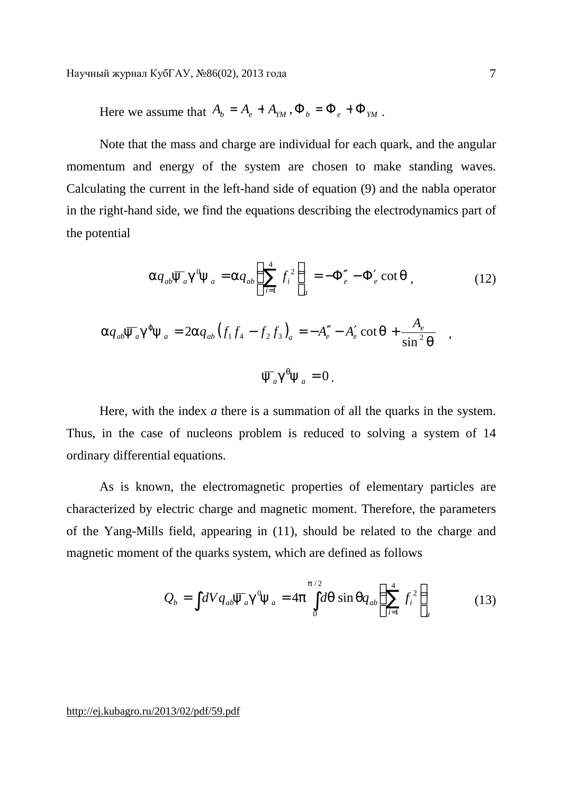Here we assume that  $A_b = A_e + A_{YM}$ ,  $\Phi_b = \Phi_e + \Phi_{YM}$ .

Note that the mass and charge are individual for each quark, and the angular momentum and energy of the system are chosen to make standing waves. Calculating the current in the left-hand side of equation (9) and the nabla operator in the right-hand side, we find the equations describing the electrodynamics part of the potential

$$
a q_{ab} \overline{y}_a g^0 y_a = a q_{ab} \left( \sum_{i=1}^4 f_i^2 \right)_a = - \Phi''_e - \Phi'_e \cot q \,, \tag{12}
$$

$$
a q_{ab} \overline{y}_a g^j y_a = 2 a q_{ab} (f_1 f_4 - f_2 f_3)_a = -A''_e - A'_e \cot q + \frac{A_e}{\sin^2 q} ,
$$
  

$$
\overline{y}_a g^q y_a = 0.
$$

Here, with the index *a* there is a summation of all the quarks in the system. Thus, in the case of nucleons problem is reduced to solving a system of 14 ordinary differential equations.

As is known, the electromagnetic properties of elementary particles are characterized by electric charge and magnetic moment. Therefore, the parameters of the Yang-Mills field, appearing in (11), should be related to the charge and magnetic moment of the quarks system, which are defined as follows

$$
Q_b = \int dV q_{ab} \overline{Y}_a g^0 Y_a = 4p \int_0^{p/2} dq \sin qq_{ab} \left( \sum_{i=1}^4 f_i^2 \right)_a \tag{13}
$$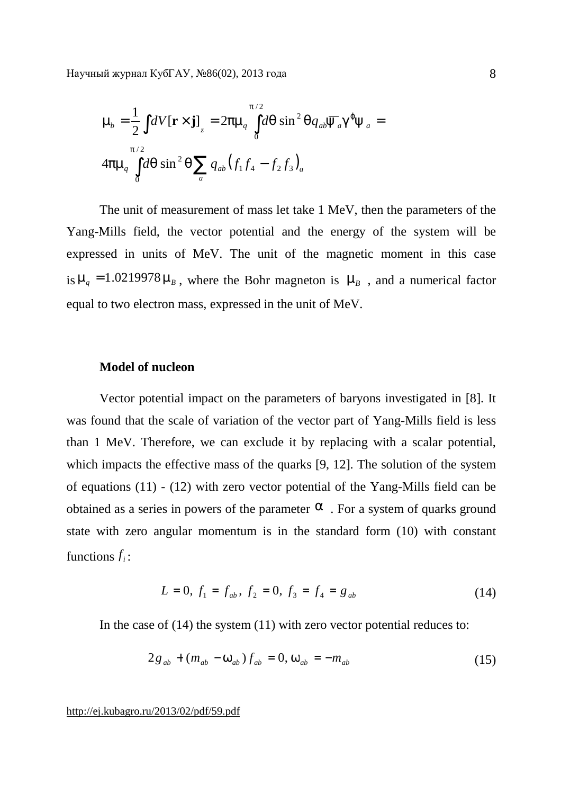$$
\mathbf{m}_{b} = \frac{1}{2} \int dV [\mathbf{r} \times \mathbf{j}]_{z} = 2 \mathbf{p} \mathbf{m}_{q} \int_{0}^{p/2} d\mathbf{q} \sin^{2} \mathbf{q} q_{ab} \overline{\mathbf{y}}_{a} \mathbf{g}^{j} \mathbf{y}_{a} =
$$
  
 
$$
4 \mathbf{p} \mathbf{m}_{q} \int_{0}^{p/2} d\mathbf{q} \sin^{2} \mathbf{q} \sum_{a} q_{ab} (f_{1} f_{4} - f_{2} f_{3})_{a}
$$

The unit of measurement of mass let take 1 MeV, then the parameters of the Yang-Mills field, the vector potential and the energy of the system will be expressed in units of MeV. The unit of the magnetic moment in this case is  $m_q = 1.0219978 m_B$ , where the Bohr magneton is  $m_B$ , and a numerical factor equal to two electron mass, expressed in the unit of MeV.

# **Model of nucleon**

Vector potential impact on the parameters of baryons investigated in [8]. It was found that the scale of variation of the vector part of Yang-Mills field is less than 1 MeV. Therefore, we can exclude it by replacing with a scalar potential, which impacts the effective mass of the quarks [9, 12]. The solution of the system of equations (11) - (12) with zero vector potential of the Yang-Mills field can be obtained as a series in powers of the parameter *a* . For a system of quarks ground state with zero angular momentum is in the standard form (10) with constant functions  $f_i$ :

$$
L = 0, f_1 = f_{ab}, f_2 = 0, f_3 = f_4 = g_{ab}
$$
 (14)

In the case of  $(14)$  the system  $(11)$  with zero vector potential reduces to:

$$
2g_{ab} + (m_{ab} - w_{ab})f_{ab} = 0, w_{ab} = -m_{ab}
$$
 (15)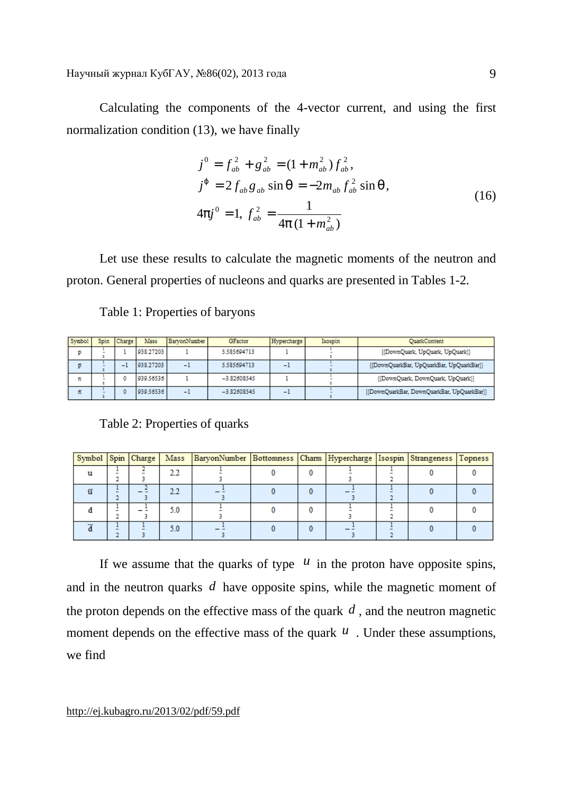Calculating the components of the 4-vector current, and using the first normalization condition (13), we have finally

$$
j^{0} = f_{ab}^{2} + g_{ab}^{2} = (1 + m_{ab}^{2}) f_{ab}^{2},
$$
  
\n
$$
j^{j} = 2 f_{ab} g_{ab} \sin q = -2 m_{ab} f_{ab}^{2} \sin q,
$$
  
\n
$$
4 p j^{0} = 1, f_{ab}^{2} = \frac{1}{4 p (1 + m_{ab}^{2})}
$$
\n(16)

Let use these results to calculate the magnetic moments of the neutron and proton. General properties of nucleons and quarks are presented in Tables 1-2.

| Symbol | Soin | Charge | Mass      | BarvonNumber | GFactor       | Hypercharge              | Isospin | <b>OuarkContent</b>                        |  |  |
|--------|------|--------|-----------|--------------|---------------|--------------------------|---------|--------------------------------------------|--|--|
|        |      |        | 938.27203 |              | 5.585694713   |                          |         | {{DownQuark, UpQuark, UpQuark}}            |  |  |
|        |      | -      | 938.27203 | -1           | 5.585694713   | - 1                      |         | {{DownQuarkBar, UpQuarkBar, UpQuarkBar}}   |  |  |
| n      |      |        | 939.56536 |              | $-3.82608545$ |                          |         | {{DownQuark, DownQuark, UpQuark}}          |  |  |
|        |      |        | 939.56536 | -1           | $-3.82608545$ | $\overline{\phantom{a}}$ |         | {{DownQuarkBar, DownQuarkBar, UpQuarkBar}} |  |  |

Table 1: Properties of baryons

# Table 2: Properties of quarks

|  |     | Symbol Spin Charge   Mass   BaryonNumber   Bottomness   Charm   Hypercharge   Isospin   Strangeness   Topness |  |  |  |
|--|-----|---------------------------------------------------------------------------------------------------------------|--|--|--|
|  |     |                                                                                                               |  |  |  |
|  |     |                                                                                                               |  |  |  |
|  | 5.0 |                                                                                                               |  |  |  |
|  | 5.0 |                                                                                                               |  |  |  |

If we assume that the quarks of type  $u$  in the proton have opposite spins, and in the neutron quarks *d* have opposite spins, while the magnetic moment of the proton depends on the effective mass of the quark  $d$ , and the neutron magnetic moment depends on the effective mass of the quark  $u$ . Under these assumptions, we find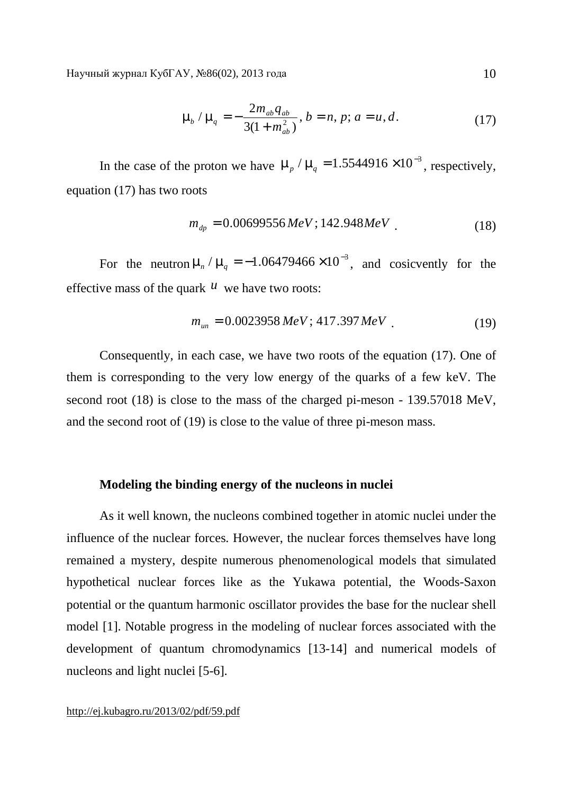$$
\mathbf{m}_{b} / \mathbf{m}_{q} = -\frac{2m_{ab}q_{ab}}{3(1 + m_{ab}^{2})}, b = n, p; a = u, d.
$$
 (17)

In the case of the proton we have  $m_p / m_q = 1.5544916 \times 10^{-3}$ , respectively, equation (17) has two roots

$$
m_{dp} = 0.00699556 \, MeV; 142.948 \, MeV \tag{18}
$$

For the neutron  $m_n / m_q = -1.06479466 \times 10^{-3}$ , and cosicvently for the effective mass of the quark  $u$  we have two roots:

$$
m_{\mu n} = 0.0023958 \, MeV; 417.397 \, MeV \tag{19}
$$

Consequently, in each case, we have two roots of the equation (17). One of them is corresponding to the very low energy of the quarks of a few keV. The second root (18) is close to the mass of the charged pi-meson - 139.57018 MeV, and the second root of (19) is close to the value of three pi-meson mass.

### **Modeling the binding energy of the nucleons in nuclei**

As it well known, the nucleons combined together in atomic nuclei under the influence of the nuclear forces. However, the nuclear forces themselves have long remained a mystery, despite numerous phenomenological models that simulated hypothetical nuclear forces like as the Yukawa potential, the Woods-Saxon potential or the quantum harmonic oscillator provides the base for the nuclear shell model [1]. Notable progress in the modeling of nuclear forces associated with the development of quantum chromodynamics [13-14] and numerical models of nucleons and light nuclei [5-6].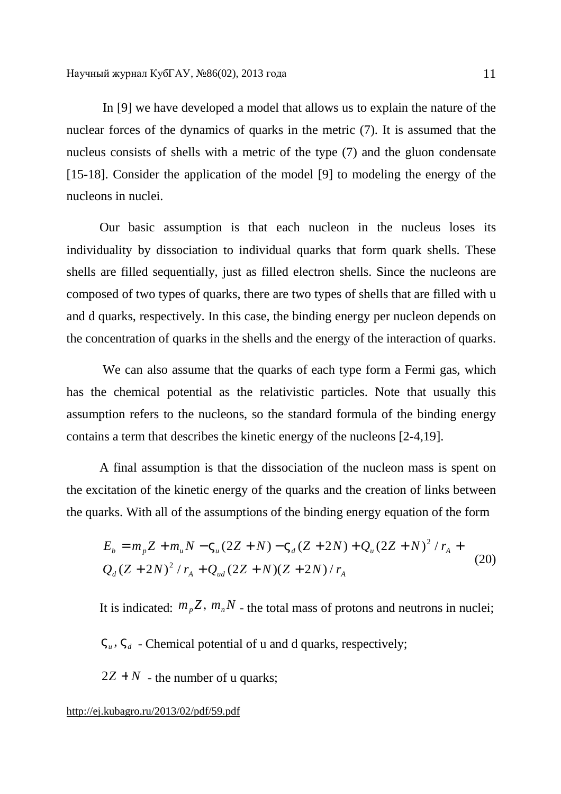In [9] we have developed a model that allows us to explain the nature of the nuclear forces of the dynamics of quarks in the metric (7). It is assumed that the nucleus consists of shells with a metric of the type (7) and the gluon condensate [15-18]. Consider the application of the model [9] to modeling the energy of the nucleons in nuclei.

Our basic assumption is that each nucleon in the nucleus loses its individuality by dissociation to individual quarks that form quark shells. These shells are filled sequentially, just as filled electron shells. Since the nucleons are composed of two types of quarks, there are two types of shells that are filled with u and d quarks, respectively. In this case, the binding energy per nucleon depends on the concentration of quarks in the shells and the energy of the interaction of quarks.

We can also assume that the quarks of each type form a Fermi gas, which has the chemical potential as the relativistic particles. Note that usually this assumption refers to the nucleons, so the standard formula of the binding energy contains a term that describes the kinetic energy of the nucleons [2-4,19].

A final assumption is that the dissociation of the nucleon mass is spent on the excitation of the kinetic energy of the quarks and the creation of links between the quarks. With all of the assumptions of the binding energy equation of the form

$$
E_b = m_p Z + m_u N - V_u (2Z + N) - V_d (Z + 2N) + Q_u (2Z + N)^2 / r_A +
$$
  
\n
$$
Q_d (Z + 2N)^2 / r_A + Q_{ud} (2Z + N)(Z + 2N) / r_A
$$
\n(20)

It is indicated:  $m_p Z$ ,  $m_n N$  - the total mass of protons and neutrons in nuclei;

 $V_{u}$ ,  $V_{d}$  - Chemical potential of u and d quarks, respectively;

 $2Z + N$  - the number of u quarks: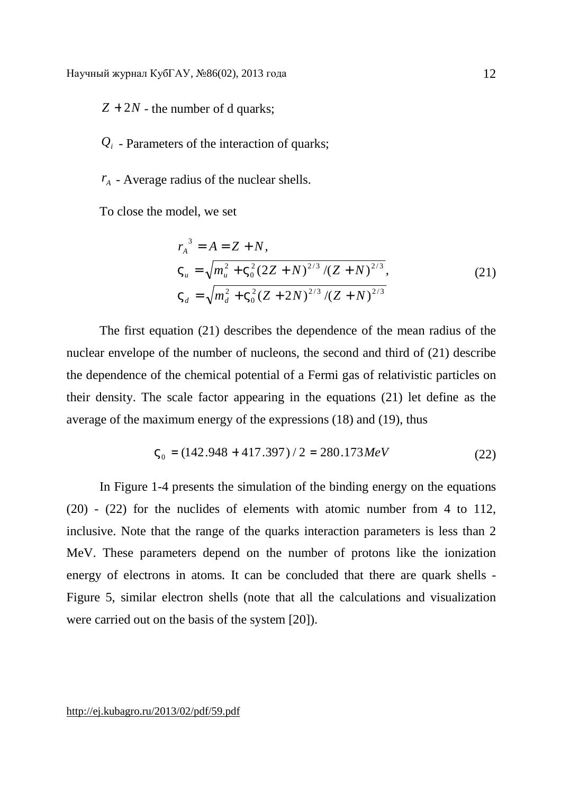$Z + 2N$  - the number of d quarks;

 $Q_i$  - Parameters of the interaction of quarks;

 $r_A$  - Average radius of the nuclear shells.

To close the model, we set

$$
r_A^3 = A = Z + N,
$$
  
\n
$$
V_u = \sqrt{m_u^2 + V_0^2 (2Z + N)^{2/3} / (Z + N)^{2/3}},
$$
  
\n
$$
V_d = \sqrt{m_d^2 + V_0^2 (Z + 2N)^{2/3} / (Z + N)^{2/3}}
$$
\n(21)

The first equation (21) describes the dependence of the mean radius of the nuclear envelope of the number of nucleons, the second and third of (21) describe the dependence of the chemical potential of a Fermi gas of relativistic particles on their density. The scale factor appearing in the equations (21) let define as the average of the maximum energy of the expressions (18) and (19), thus

$$
V_0 = (142.948 + 417.397) / 2 = 280.173 MeV
$$
\n(22)

In Figure 1-4 presents the simulation of the binding energy on the equations (20) - (22) for the nuclides of elements with atomic number from 4 to 112, inclusive. Note that the range of the quarks interaction parameters is less than 2 MeV. These parameters depend on the number of protons like the ionization energy of electrons in atoms. It can be concluded that there are quark shells - Figure 5, similar electron shells (note that all the calculations and visualization were carried out on the basis of the system [20]).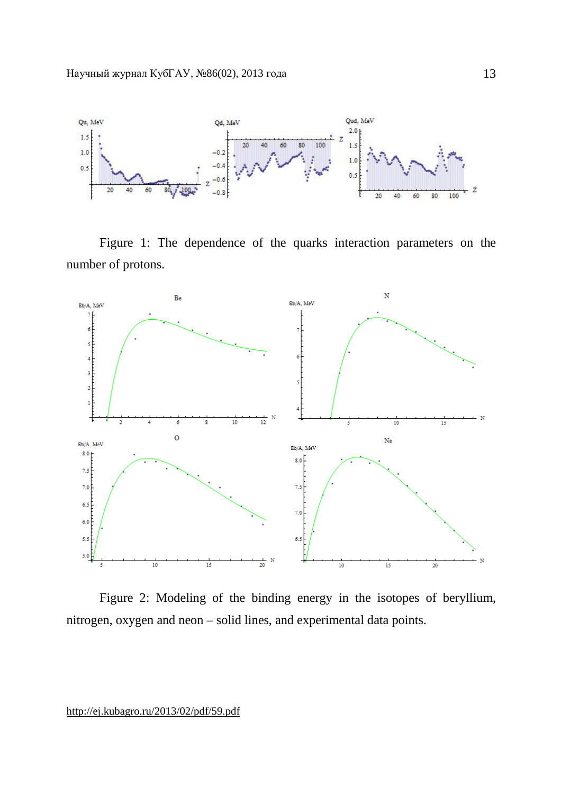

Figure 1: The dependence of the quarks interaction parameters on the number of protons.



Figure 2: Modeling of the binding energy in the isotopes of beryllium, nitrogen, oxygen and neon – solid lines, and experimental data points.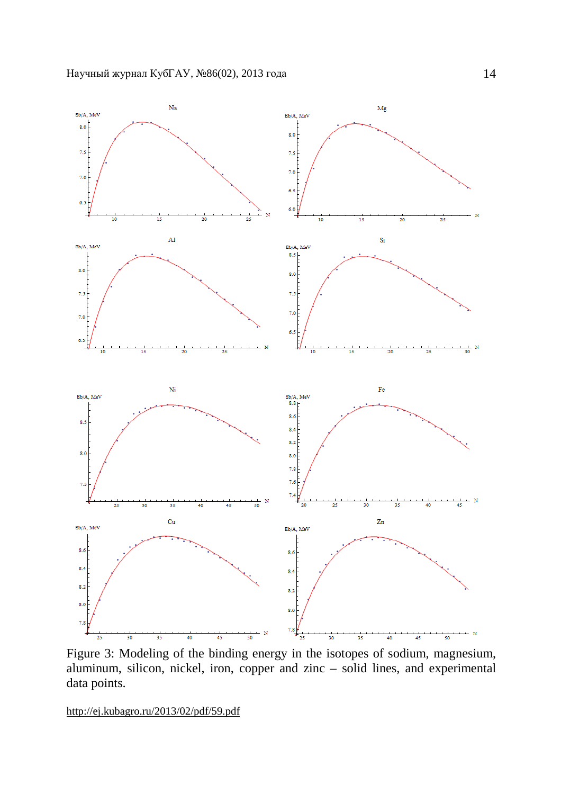

Figure 3: Modeling of the binding energy in the isotopes of sodium, magnesium, aluminum, silicon, nickel, iron, copper and zinc – solid lines, and experimental data points.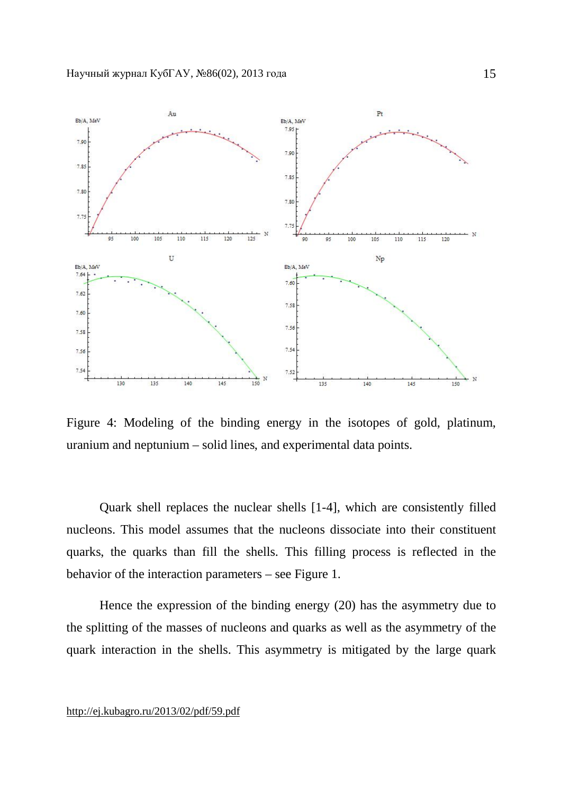

Figure 4: Modeling of the binding energy in the isotopes of gold, platinum, uranium and neptunium – solid lines, and experimental data points.

Quark shell replaces the nuclear shells [1-4], which are consistently filled nucleons. This model assumes that the nucleons dissociate into their constituent quarks, the quarks than fill the shells. This filling process is reflected in the behavior of the interaction parameters – see Figure 1.

Hence the expression of the binding energy (20) has the asymmetry due to the splitting of the masses of nucleons and quarks as well as the asymmetry of the quark interaction in the shells. This asymmetry is mitigated by the large quark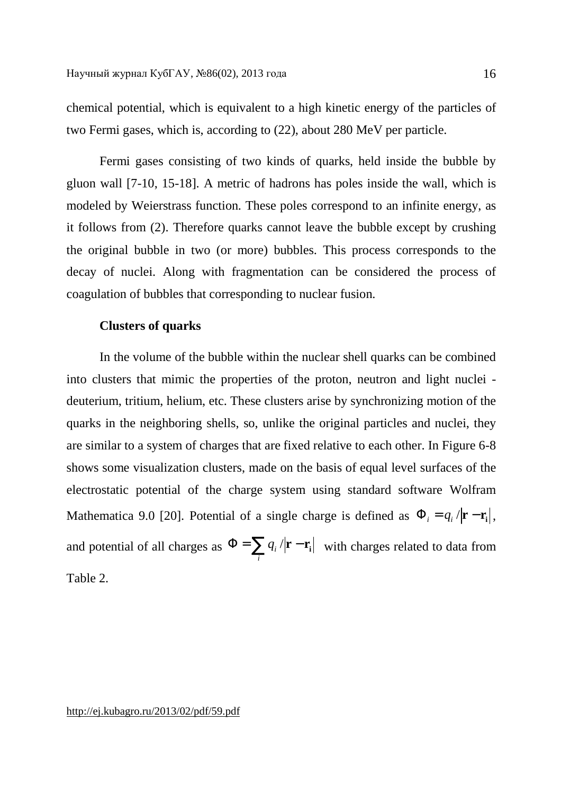chemical potential, which is equivalent to a high kinetic energy of the particles of two Fermi gases, which is, according to (22), about 280 MeV per particle.

Fermi gases consisting of two kinds of quarks, held inside the bubble by gluon wall [7-10, 15-18]. A metric of hadrons has poles inside the wall, which is modeled by Weierstrass function. These poles correspond to an infinite energy, as it follows from (2). Therefore quarks cannot leave the bubble except by crushing the original bubble in two (or more) bubbles. This process corresponds to the decay of nuclei. Along with fragmentation can be considered the process of coagulation of bubbles that corresponding to nuclear fusion.

## **Clusters of quarks**

In the volume of the bubble within the nuclear shell quarks can be combined into clusters that mimic the properties of the proton, neutron and light nuclei deuterium, tritium, helium, etc. These clusters arise by synchronizing motion of the quarks in the neighboring shells, so, unlike the original particles and nuclei, they are similar to a system of charges that are fixed relative to each other. In Figure 6-8 shows some visualization clusters, made on the basis of equal level surfaces of the electrostatic potential of the charge system using standard software Wolfram Mathematica 9.0 [20]. Potential of a single charge is defined as  $\Phi_i = q_i / |\mathbf{r} - \mathbf{r_i}|$ , and potential of all charges as  $\Phi = \sum_i q_i / |\mathbf{r} - \mathbf{r}|$  $q_i / | \mathbf{r} - \mathbf{r_i} |$  with charges related to data from Table 2.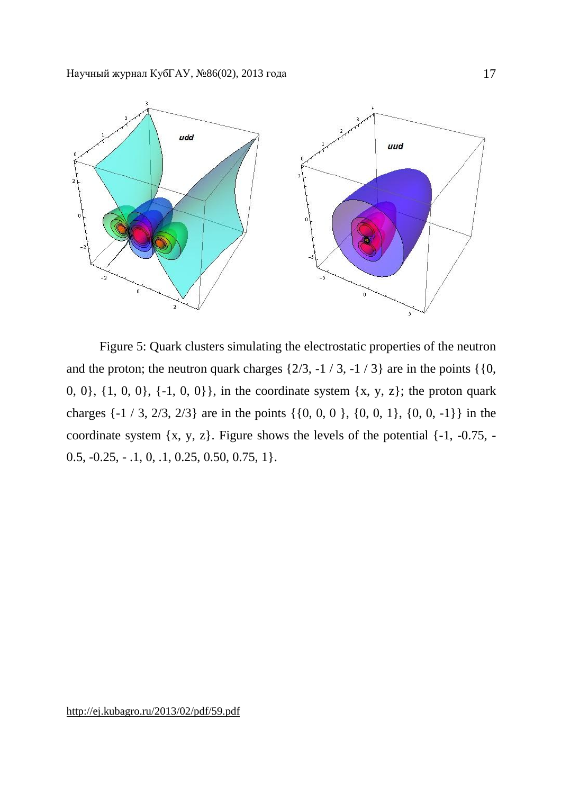

Figure 5: Quark clusters simulating the electrostatic properties of the neutron and the proton; the neutron quark charges  $\{2/3, -1/3, -1/3\}$  are in the points  $\{0,$ 0, 0},  $\{1, 0, 0\}$ ,  $\{-1, 0, 0\}$ , in the coordinate system  $\{x, y, z\}$ ; the proton quark charges {-1 / 3, 2/3, 2/3} are in the points {{0, 0, 0 }, {0, 0, 1}, {0, 0, -1}} in the coordinate system {x, y, z}. Figure shows the levels of the potential {-1, -0.75, - 0.5,  $-0.25, -1, 0, 1, 0.25, 0.50, 0.75, 1$ .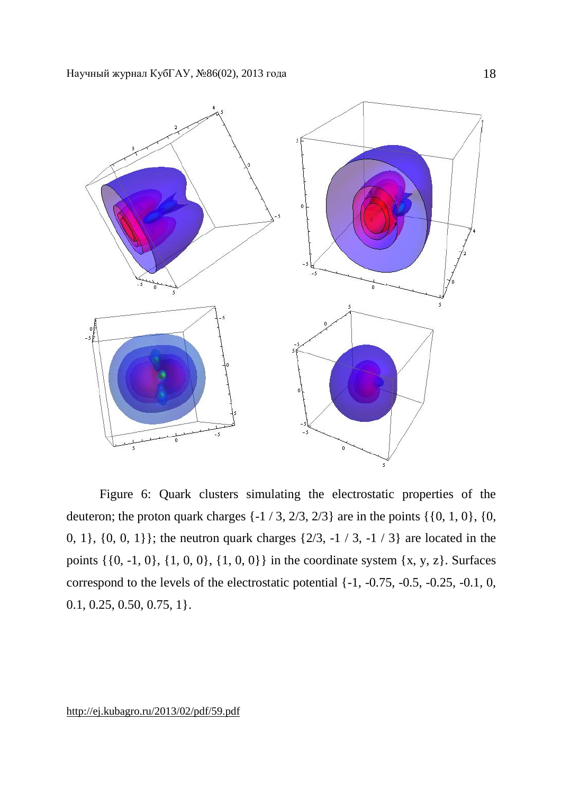

Figure 6: Quark clusters simulating the electrostatic properties of the deuteron; the proton quark charges  $\{-1/3, 2/3, 2/3\}$  are in the points  $\{\{0, 1, 0\}, \{0, 1, 0\}\}$ 0, 1}, {0, 0, 1}}; the neutron quark charges {2/3, -1 / 3, -1 / 3} are located in the points {{0, -1, 0}, {1, 0, 0}, {1, 0, 0}} in the coordinate system {x, y, z}. Surfaces correspond to the levels of the electrostatic potential {-1, -0.75, -0.5, -0.25, -0.1, 0,  $0.1, 0.25, 0.50, 0.75, 1$ .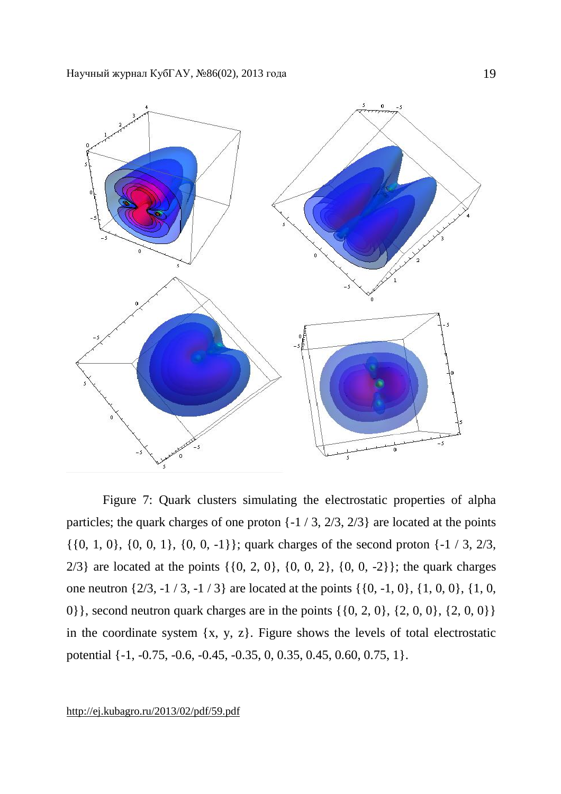

Figure 7: Quark clusters simulating the electrostatic properties of alpha particles; the quark charges of one proton {-1 / 3, 2/3, 2/3} are located at the points {{0, 1, 0}, {0, 0, 1}, {0, 0, -1}}; quark charges of the second proton {-1 / 3, 2/3, 2/3} are located at the points  $\{\{0, 2, 0\}, \{0, 0, 2\}, \{0, 0, -2\}\}$ ; the quark charges one neutron {2/3, -1 / 3, -1 / 3} are located at the points {{0, -1, 0}, {1, 0, 0}, {1, 0, 0}}, second neutron quark charges are in the points {{0, 2, 0}, {2, 0, 0}, {2, 0, 0}} in the coordinate system  $\{x, y, z\}$ . Figure shows the levels of total electrostatic potential {-1, -0.75, -0.6, -0.45, -0.35, 0, 0.35, 0.45, 0.60, 0.75, 1}.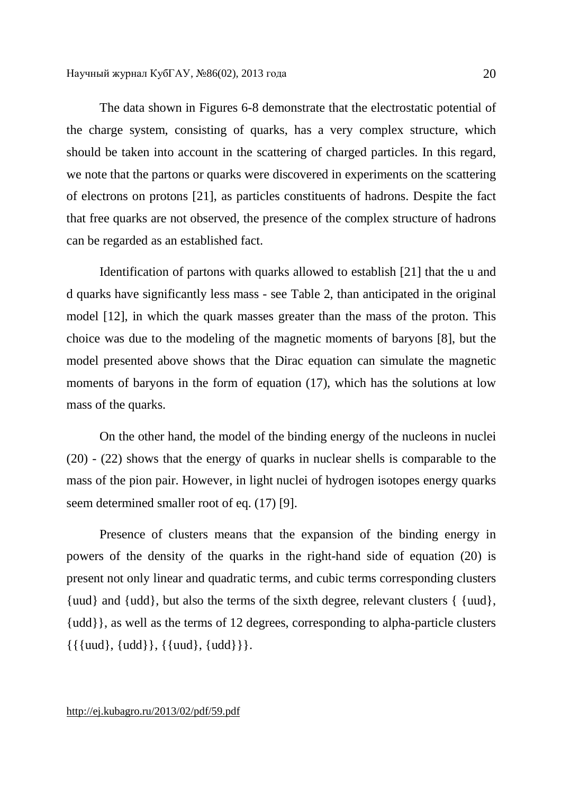The data shown in Figures 6-8 demonstrate that the electrostatic potential of the charge system, consisting of quarks, has a very complex structure, which should be taken into account in the scattering of charged particles. In this regard, we note that the partons or quarks were discovered in experiments on the scattering of electrons on protons [21], as particles constituents of hadrons. Despite the fact that free quarks are not observed, the presence of the complex structure of hadrons can be regarded as an established fact.

Identification of partons with quarks allowed to establish [21] that the u and d quarks have significantly less mass - see Table 2, than anticipated in the original model [12], in which the quark masses greater than the mass of the proton. This choice was due to the modeling of the magnetic moments of baryons [8], but the model presented above shows that the Dirac equation can simulate the magnetic moments of baryons in the form of equation (17), which has the solutions at low mass of the quarks.

On the other hand, the model of the binding energy of the nucleons in nuclei (20) - (22) shows that the energy of quarks in nuclear shells is comparable to the mass of the pion pair. However, in light nuclei of hydrogen isotopes energy quarks seem determined smaller root of eq. (17) [9].

Presence of clusters means that the expansion of the binding energy in powers of the density of the quarks in the right-hand side of equation (20) is present not only linear and quadratic terms, and cubic terms corresponding clusters {uud} and {udd}, but also the terms of the sixth degree, relevant clusters { {uud}, {udd}}, as well as the terms of 12 degrees, corresponding to alpha-particle clusters  $\{ {\{uud\}, {udd\}}, \{dud\}, \{udd\}}\}.$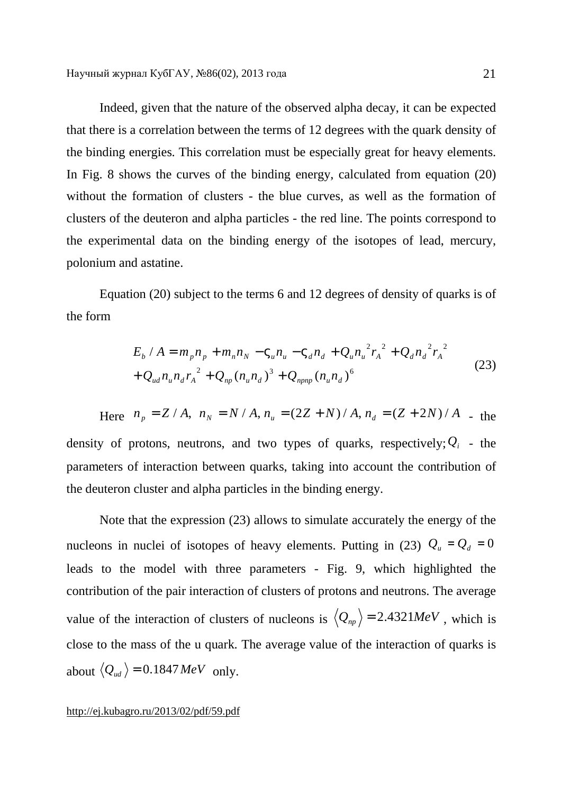Indeed, given that the nature of the observed alpha decay, it can be expected that there is a correlation between the terms of 12 degrees with the quark density of the binding energies. This correlation must be especially great for heavy elements. In Fig. 8 shows the curves of the binding energy, calculated from equation (20) without the formation of clusters - the blue curves, as well as the formation of clusters of the deuteron and alpha particles - the red line. The points correspond to the experimental data on the binding energy of the isotopes of lead, mercury, polonium and astatine.

Equation (20) subject to the terms 6 and 12 degrees of density of quarks is of the form

$$
E_b / A = m_p n_p + m_n n_N - V_u n_u - V_d n_d + Q_u n_u^2 r_A^2 + Q_d n_d^2 r_A^2
$$
  
+  $Q_{ud} n_u n_d r_A^2 + Q_{np} (n_u n_d)^3 + Q_{npnp} (n_u n_d)^6$  (23)

Here  $n_p = Z / A$ ,  $n_N = N / A$ ,  $n_u = (2Z + N) / A$ ,  $n_d = (Z + 2N) / A$  - the density of protons, neutrons, and two types of quarks, respectively;  $Q_i$  - the parameters of interaction between quarks, taking into account the contribution of the deuteron cluster and alpha particles in the binding energy.

Note that the expression (23) allows to simulate accurately the energy of the nucleons in nuclei of isotopes of heavy elements. Putting in (23)  $Q_u = Q_d = 0$ leads to the model with three parameters - Fig. 9, which highlighted the contribution of the pair interaction of clusters of protons and neutrons. The average value of the interaction of clusters of nucleons is  $\langle Q_{np} \rangle = 2.4321 MeV$ , which is close to the mass of the u quark. The average value of the interaction of quarks is about  $\langle Q_{ud} \rangle$  = 0.1847 *MeV* only.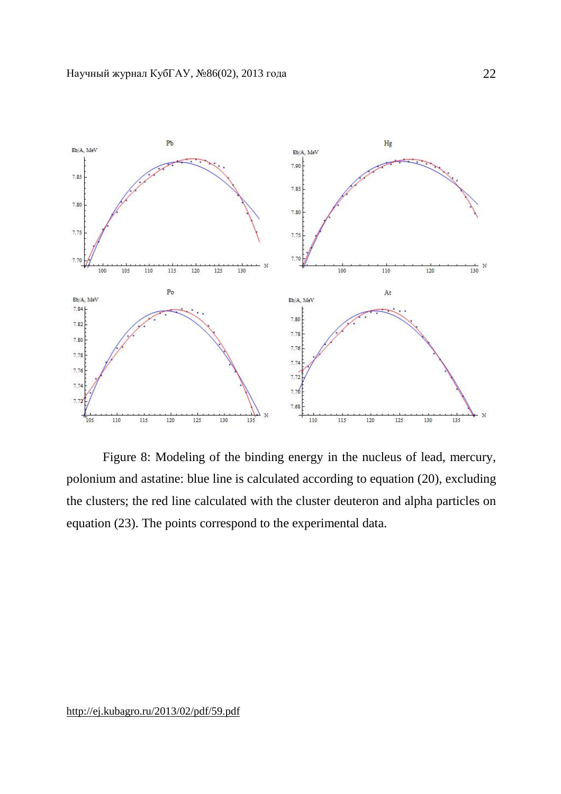

Figure 8: Modeling of the binding energy in the nucleus of lead, mercury, polonium and astatine: blue line is calculated according to equation (20), excluding the clusters; the red line calculated with the cluster deuteron and alpha particles on equation (23). The points correspond to the experimental data.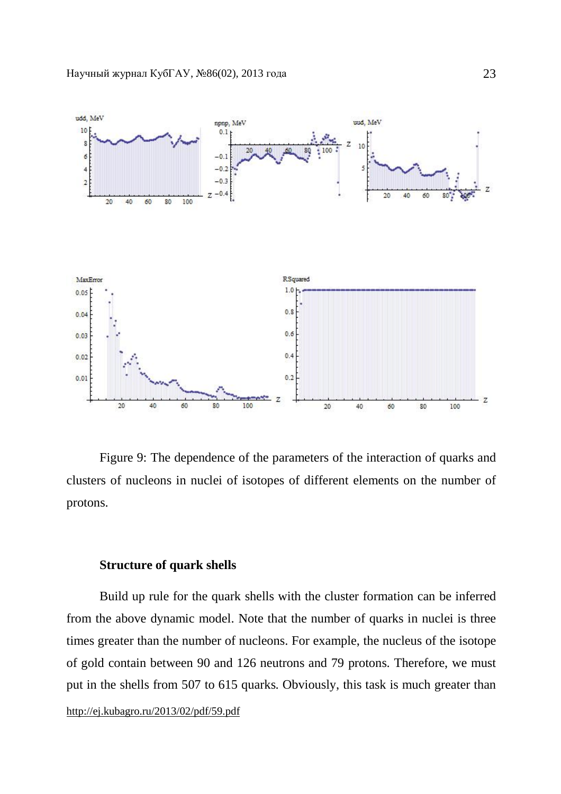

Figure 9: The dependence of the parameters of the interaction of quarks and clusters of nucleons in nuclei of isotopes of different elements on the number of protons.

### **Structure of quark shells**

<http://ej.kubagro.ru/2013/02/pdf/59.pdf> Build up rule for the quark shells with the cluster formation can be inferred from the above dynamic model. Note that the number of quarks in nuclei is three times greater than the number of nucleons. For example, the nucleus of the isotope of gold contain between 90 and 126 neutrons and 79 protons. Therefore, we must put in the shells from 507 to 615 quarks. Obviously, this task is much greater than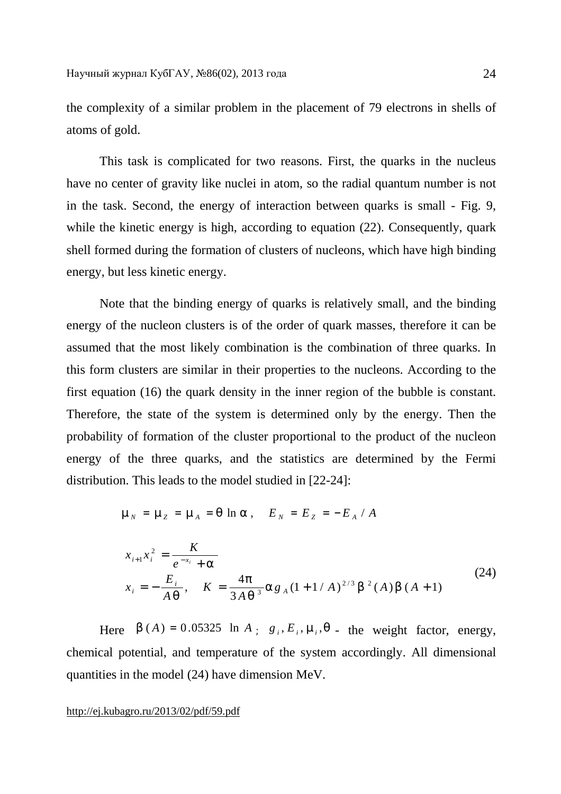the complexity of a similar problem in the placement of 79 electrons in shells of atoms of gold.

This task is complicated for two reasons. First, the quarks in the nucleus have no center of gravity like nuclei in atom, so the radial quantum number is not in the task. Second, the energy of interaction between quarks is small - Fig. 9, while the kinetic energy is high, according to equation (22). Consequently, quark shell formed during the formation of clusters of nucleons, which have high binding energy, but less kinetic energy.

Note that the binding energy of quarks is relatively small, and the binding energy of the nucleon clusters is of the order of quark masses, therefore it can be assumed that the most likely combination is the combination of three quarks. In this form clusters are similar in their properties to the nucleons. According to the first equation (16) the quark density in the inner region of the bubble is constant. Therefore, the state of the system is determined only by the energy. Then the probability of formation of the cluster proportional to the product of the nucleon energy of the three quarks, and the statistics are determined by the Fermi distribution. This leads to the model studied in [22-24]:

$$
m_N = m_Z = m_A = q \ln a
$$
,  $E_N = E_Z = -E_A / A$ 

$$
x_{i+1}x_i^2 = \frac{K}{e^{-x_i} + a}
$$
  
\n
$$
x_i = -\frac{E_i}{Aq}, \quad K = \frac{4p}{3Aq^3}ag_A(1 + 1/A)^{2/3}b^2(A)b(A+1)
$$
\n(24)

Here  $b(A) = 0.05325 \ln A$ ;  $g_i, E_i, m_i, q$  - the weight factor, energy, chemical potential, and temperature of the system accordingly. All dimensional quantities in the model (24) have dimension MeV.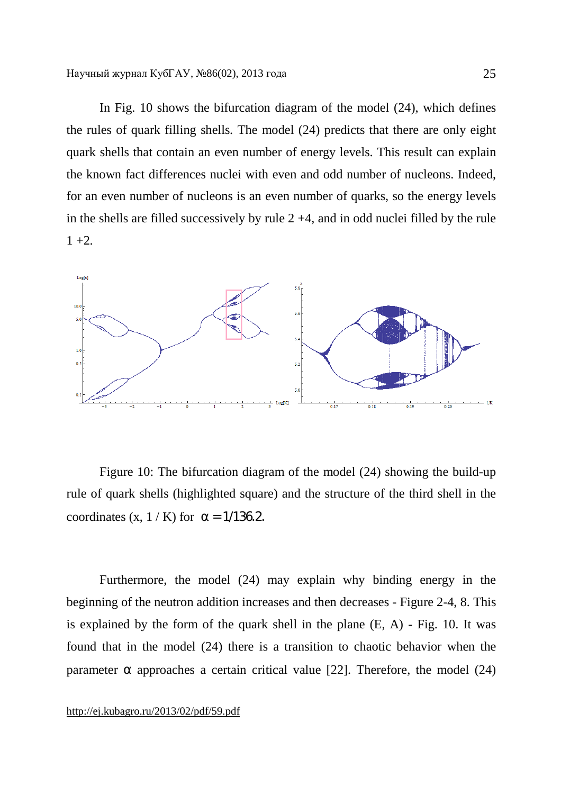In Fig. 10 shows the bifurcation diagram of the model (24), which defines the rules of quark filling shells. The model (24) predicts that there are only eight quark shells that contain an even number of energy levels. This result can explain the known fact differences nuclei with even and odd number of nucleons. Indeed, for an even number of nucleons is an even number of quarks, so the energy levels in the shells are filled successively by rule  $2 + 4$ , and in odd nuclei filled by the rule  $1 + 2.$ 



Figure 10: The bifurcation diagram of the model (24) showing the build-up rule of quark shells (highlighted square) and the structure of the third shell in the coordinates (x,  $1/K$ ) for  $\alpha = 1/136.2$ .

Furthermore, the model (24) may explain why binding energy in the beginning of the neutron addition increases and then decreases - Figure 2-4, 8. This is explained by the form of the quark shell in the plane (E, A) - Fig. 10. It was found that in the model (24) there is a transition to chaotic behavior when the parameter  $\alpha$  approaches a certain critical value [22]. Therefore, the model (24)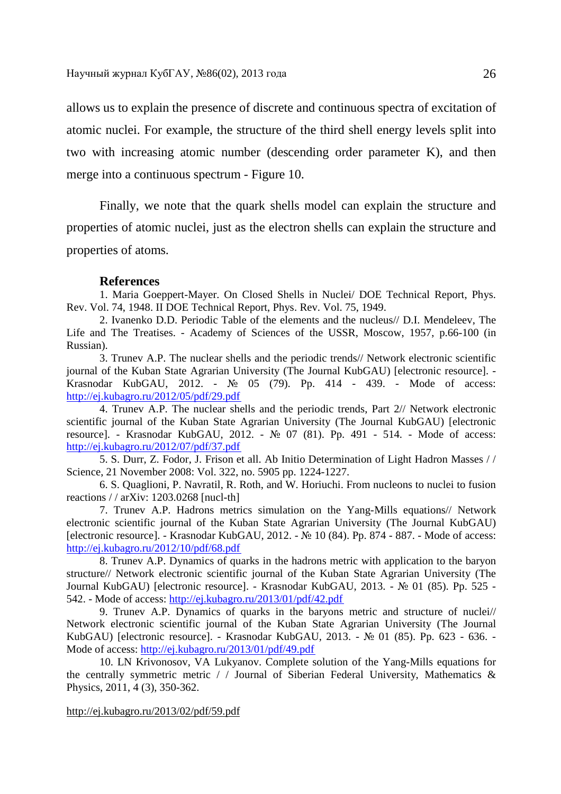allows us to explain the presence of discrete and continuous spectra of excitation of atomic nuclei. For example, the structure of the third shell energy levels split into two with increasing atomic number (descending order parameter K), and then merge into a continuous spectrum - Figure 10.

Finally, we note that the quark shells model can explain the structure and properties of atomic nuclei, just as the electron shells can explain the structure and properties of atoms.

#### **References**

1. Maria Goeppert-Mayer. On Closed Shells in Nuclei/ DOE Technical Report, Phys. Rev. Vol. 74, 1948. II DOE Technical Report, Phys. Rev. Vol. 75, 1949.

2. Ivanenko D.D. Periodic Table of the elements and the nucleus// D.I. Mendeleev, The Life and The Treatises. - Academy of Sciences of the USSR, Moscow, 1957, p.66-100 (in Russian).

3. Trunev A.P. The nuclear shells and the periodic trends// Network electronic scientific journal of the Kuban State Agrarian University (The Journal KubGAU) [electronic resource]. - Krasnodar KubGAU, 2012. - № 05 (79). Pp. 414 - 439. - Mode of access: <http://ej.kubagro.ru/2012/05/pdf/29.pdf>

4. Trunev A.P. The nuclear shells and the periodic trends, Part 2// Network electronic scientific journal of the Kuban State Agrarian University (The Journal KubGAU) [electronic resource]. - Krasnodar KubGAU, 2012. - № 07 (81). Pp. 491 - 514. - Mode of access: <http://ej.kubagro.ru/2012/07/pdf/37.pdf>

5. S. Durr, Z. Fodor, J. Frison et all. Ab Initio Determination of Light Hadron Masses / / Science, 21 November 2008: Vol. 322, no. 5905 pp. 1224-1227.

6. S. Quaglioni, P. Navratil, R. Roth, and W. Horiuchi. From nucleons to nuclei to fusion reactions / / arXiv: 1203.0268 [nucl-th]

7. Trunev A.P. Hadrons metrics simulation on the Yang-Mills equations// Network electronic scientific journal of the Kuban State Agrarian University (The Journal KubGAU) [electronic resource]. - Krasnodar KubGAU, 2012. - № 10 (84). Pp. 874 - 887. - Mode of access: <http://ej.kubagro.ru/2012/10/pdf/68.pdf>

8. Trunev A.P. Dynamics of quarks in the hadrons metric with application to the baryon structure// Network electronic scientific journal of the Kuban State Agrarian University (The Journal KubGAU) [electronic resource]. - Krasnodar KubGAU, 2013. - № 01 (85). Pp. 525 - 542. - Mode of access: <http://ej.kubagro.ru/2013/01/pdf/42.pdf>

9. Trunev A.P. Dynamics of quarks in the baryons metric and structure of nuclei// Network electronic scientific journal of the Kuban State Agrarian University (The Journal KubGAU) [electronic resource]. - Krasnodar KubGAU, 2013. - № 01 (85). Pp. 623 - 636. - Mode of access:<http://ej.kubagro.ru/2013/01/pdf/49.pdf>

10. LN Krivonosov, VA Lukyanov. Complete solution of the Yang-Mills equations for the centrally symmetric metric / / Journal of Siberian Federal University, Mathematics  $\&$ Physics, 2011, 4 (3), 350-362.